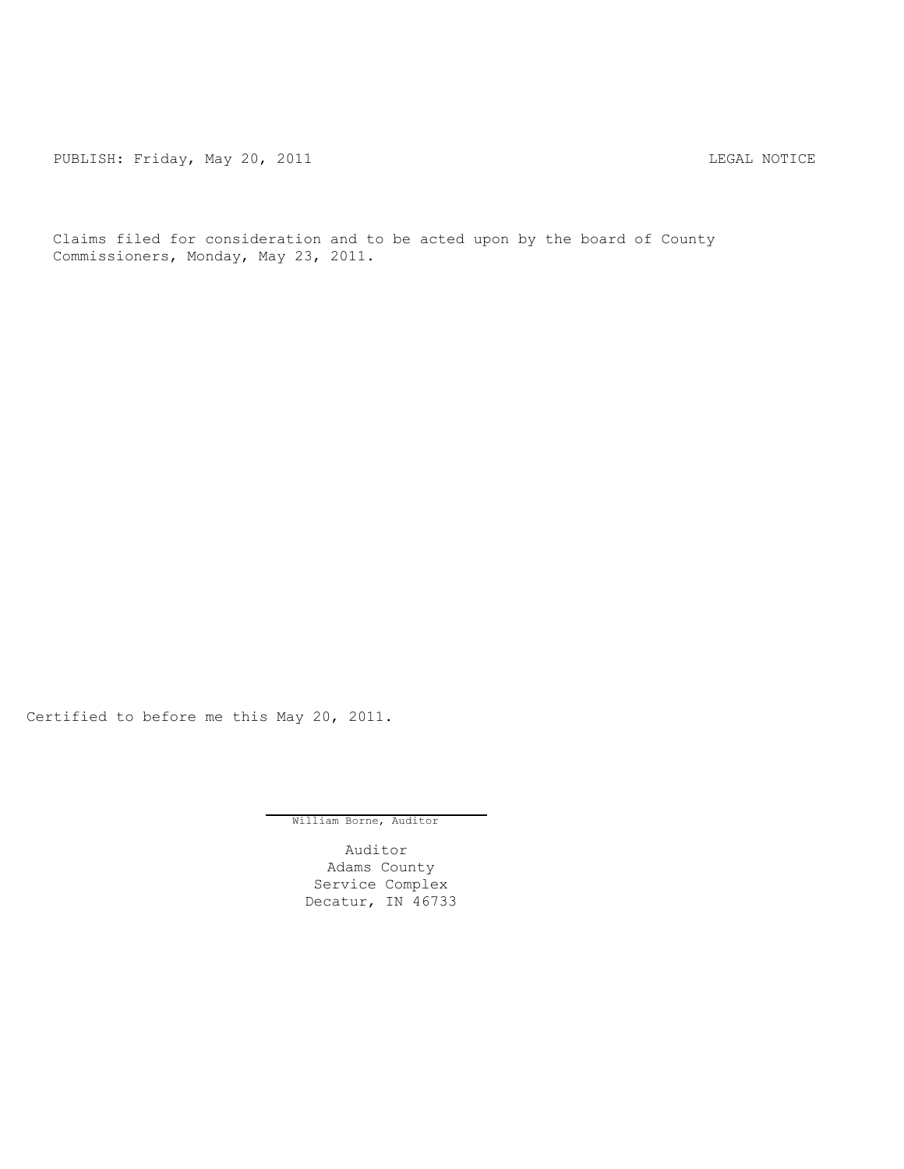PUBLISH: Friday, May 20, 2011 CHARGE STATES AND REGAL NOTICE

Claims filed for consideration and to be acted upon by the board of County Commissioners, Monday, May 23, 2011.

Certified to before me this May 20, 2011.

William Borne, Auditor

Auditor Adams County Service Complex Decatur, IN 46733